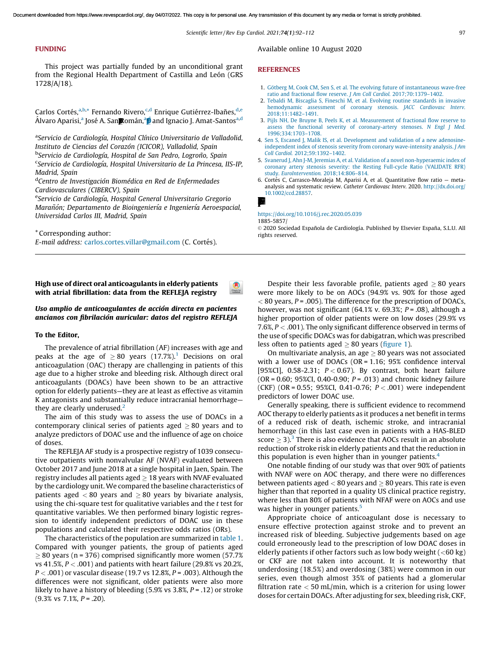### FUNDING

This project was partially funded by an unconditional grant from the Regional Health Department of Castilla and León (GRS 1728/A/18).

Carlos Cortés,<sup>a,b,\*</sup> Fernando Rivero,<sup>c,d</sup> Enrique Gutiérrez-Ibañes,<sup>d,e</sup> Álvaro Aparisi,ª José A. San**p**omán,ª**p** and Ignacio J. Amat-Santos<sup>a,d</sup>

<sup>a</sup>Servicio de Cardiología, Hospital Clínico Universitario de Valladolid, *Instituto de Ciencias del Corazo´n (ICICOR), Valladolid, Spain* <sup>b</sup>Servicio de Cardiología, Hospital de San Pedro, Logroño, Spain <sup>c</sup>Servicio de Cardiología, Hospital Universitario de La Princesa, IIS-IP, *Madrid, Spain*

<sup>d</sup>Centro de Investigación Biomédica en Red de Enfermedades *Cardiovasculares (CIBERCV), Spain*

eServicio de Cardiología, Hospital General Universitario Gregorio *Maran˜o´n; Departamento de Bioingenierı´a e Ingenierı´a Aeroespacial, Universidad Carlos III, Madrid, Spain*

\* Corresponding author: *E-mail address: [carlos.cortes.villar@gmail.com](mailto:carlos.cortes.villar@gmail.com) (C. Cortés).* 

High use of direct oral anticoagulants in elderly patients with atrial fibrillation: data from the REFLEJA registry

# Uso amplio de anticoagulantes de acción directa en pacientes ancianos con fibrilación auricular: datos del registro REFLEJA

### To the Editor,

The prevalence of atrial fibrillation (AF) increases with age and peaks at the age of  $\geq 80$  years ([1](#page-2-0)7.7%).<sup>1</sup> Decisions on oral anticoagulation (OAC) therapy are challenging in patients of this age due to a higher stroke and bleeding risk. Although direct oral anticoagulants (DOACs) have been shown to be an attractive option for elderly patients—they are at least as effective as vitamin K antagonists and substantially reduce intracranial hemorrhage they are clearly underused. $<sup>2</sup>$  $<sup>2</sup>$  $<sup>2</sup>$ </sup>

The aim of this study was to assess the use of DOACs in a contemporary clinical series of patients aged  $\geq 80$  years and to analyze predictors of DOAC use and the influence of age on choice of doses.

The REFLEJA AF study is a prospective registry of 1039 consecutive outpatients with nonvalvular AF (NVAF) evaluated between October 2017 and June 2018 at a single hospital in Jaen, Spain. The registry includes all patients aged  $> 18$  years with NVAF evaluated by the cardiology unit. We compared the baseline characteristics of patients aged  $< 80$  years and  $> 80$  years by bivariate analysis, using the chi-square test for qualitative variables and the *t* test for quantitative variables. We then performed binary logistic regression to identify independent predictors of DOAC use in these populations and calculated their respective odds ratios (ORs).

The characteristics of the population are summarized in table 1. Compared with younger patients, the group of patients aged  $\geq$  80 years (n = 376) comprised significantly more women (57.7%) vs 41.5%, *P* < .001) and patients with heart failure (29.8% vs 20.2%, *P* < .001) or vascular disease (19.7 vs 12.8%, *P* = .003). Although the differences were not significant, older patients were also more likely to have a history of bleeding (5.9% vs 3.8%, *P* = .12) or stroke (9.3% vs 7.1%, *P* = .20).

Available online 10 August 2020

### **REFERENCES**

- 1. Götberg M, Cook CM, Sen S, et al. The evolving future of instantaneous wave-free [ratio and fractional flow reserve.](http://refhub.elsevier.com/S1885-5857(20)30321-2/sbref0035) *J Am Coll Cardiol.* 2017;70:1379–1402.
- 2. [Tebaldi M, Biscaglia S, Fineschi M, et al. Evolving routine standards in invasive](http://refhub.elsevier.com/S1885-5857(20)30321-2/sbref0040) [hemodynamic assessment of coronary stenosis.](http://refhub.elsevier.com/S1885-5857(20)30321-2/sbref0040) *JACC Cardiovasc Interv.* [2018;11:1482–1491](http://refhub.elsevier.com/S1885-5857(20)30321-2/sbref0040).
- 3. [Pijls NH, De Bruyne B, Peels K, et al. Measurement of fractional flow reserve to](http://refhub.elsevier.com/S1885-5857(20)30321-2/sbref0045) [assess the functional severity of coronary-artery stenoses.](http://refhub.elsevier.com/S1885-5857(20)30321-2/sbref0045) *N Engl J Med.* [1996;334:1703–1708](http://refhub.elsevier.com/S1885-5857(20)30321-2/sbref0045).
- 4. [Sen S, Escaned J, Malik IS, et al. Development and validation of a new adenosine](http://refhub.elsevier.com/S1885-5857(20)30321-2/sbref0050)[independent index of stenosis severity from coronary wave-intensity analysis.](http://refhub.elsevier.com/S1885-5857(20)30321-2/sbref0050) *J Am Coll Cardiol.* [2012;59:1392–1402](http://refhub.elsevier.com/S1885-5857(20)30321-2/sbref0050).
- 5. [Svanerud J, Ahn J-M, Jeremias A, et al. Validation of a novel non-hyperaemic index of](http://refhub.elsevier.com/S1885-5857(20)30321-2/sbref0055) [coronary artery stenosis severity: the Resting Full-cycle Ratio \(VALIDATE RFR\)](http://refhub.elsevier.com/S1885-5857(20)30321-2/sbref0055) study. *EuroIntervention.* [2018;14:806–814.](http://refhub.elsevier.com/S1885-5857(20)30321-2/sbref0055)
- 6. Cortés C, Carrasco-Moraleja M, Aparisi A, et al. Quantitative flow ratio metaanalysis and systematic review. *Catheter Cardiovasc Interv.* 2020. [http://dx.doi.org/](http://dx.doi.org/10.1002/ccd.28857) [10.1002/ccd.28857.](http://dx.doi.org/10.1002/ccd.28857)



### <https://doi.org/10.1016/j.rec.2020.05.039>

1885-5857/

© 2020 Sociedad Española de Cardiología. Published by Elsevier España, S.L.U. All rights reserved.

Despite their less favorable profile, patients aged  $\geq 80$  years were more likely to be on AOCs (94.9% vs. 90% for those aged < 80 years, *P* = .005). The difference for the prescription of DOACs, however, was not significant (64.1% v. 69.3%; *P* = .08), although a higher proportion of older patients were on low doses (29.9% vs 7.6%, *P* < .001). The only significant difference observed in terms of the use of specific DOACs was for dabigatran, which was prescribed less often to patients aged  $\geq 80$  years (figure 1).

On multivariate analysis, an age  $\geq 80$  years was not associated with a lower use of DOACs (OR = 1.16; 95% confidence interval [95%CI], 0.58-2.31; *P* < 0.67). By contrast, both heart failure (OR = 0.60; 95%CI, 0.40-0.90; *P* = .013) and chronic kidney failure (CKF) (OR = 0.55; 95%CI, 0.41-0.76; *P* < .001) were independent predictors of lower DOAC use.

Generally speaking, there is sufficient evidence to recommend AOC therapy to elderly patients as it produces a net benefit in terms of a reduced risk of death, ischemic stroke, and intracranial hemorrhage (in this last case even in patients with a HAS-BLED score  $\geq$  [3](#page-2-0)).<sup>3</sup> There is also evidence that AOCs result in an absolute reduction of stroke risk in elderly patients and that the reduction in this population is even higher than in younger patients.<sup>[4](#page-2-0)</sup>

One notable finding of our study was that over 90% of patients with NVAF were on AOC therapy, and there were no differences between patients aged  $< 80$  years and  $\geq 80$  years. This rate is even higher than that reported in a quality US clinical practice registry, where less than 80% of patients with NFAF were on AOCs and use was higher in younger patients.<sup>[5](#page-2-0)</sup>

Appropriate choice of anticoagulant dose is necessary to ensure effective protection against stroke and to prevent an increased risk of bleeding. Subjective judgements based on age could erroneously lead to the prescription of low DOAC doses in elderly patients if other factors such as low body weight  $(<60 \text{ kg})$ or CKF are not taken into account. It is noteworthy that underdosing (18.5%) and overdosing (38%) were common in our series, even though almost 35% of patients had a glomerular filtration rate  $<$  50 mL/min, which is a criterion for using lower doses for certain DOACs. After adjusting for sex, bleeding risk, CKF,

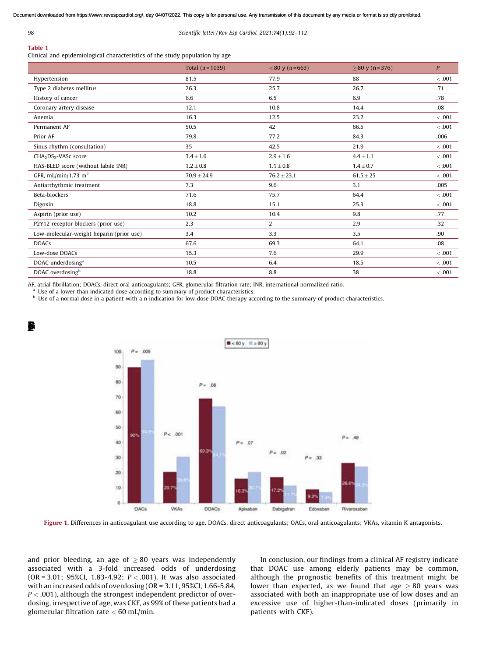$\blacksquare$ 

### 98 *Scientific letter / Rev Esp Cardiol. 2021;*74(1)*:92–112*

# Table 1

Clinical and epidemiological characteristics of the study population by age

|                                              | Total $(n = 1039)$ | $< 80$ y (n = 663) | $> 80 \text{ y} (n=376)$ | P       |
|----------------------------------------------|--------------------|--------------------|--------------------------|---------|
| Hypertension                                 | 81.5               | 77.9               | 88                       | < .001  |
| Type 2 diabetes mellitus                     | 26.3               | 25.7               | 26.7                     | .71     |
| History of cancer                            | 6.6                | 6.5                | 6.9                      | .78     |
| Coronary artery disease                      | 12.1               | 10.8               | 14.4                     | .08     |
| Anemia                                       | 16.3               | 12.5               | 23.2                     | < 0.001 |
| Permanent AF                                 | 50.5               | 42                 | 66.5                     | $-.001$ |
| Prior AF                                     | 79.8               | 77.2               | 84.3                     | .006    |
| Sinus rhythm (consultation)                  | 35                 | 42.5               | 21.9                     | < 0.001 |
| CHA <sub>2</sub> DS <sub>2</sub> -VASc score | $3.4 \pm 1.6$      | $2.9 \pm 1.6$      | $4.4 \pm 1.1$            | < 0.001 |
| HAS-BLED score (without labile INR)          | $1.2 \pm 0.8$      | $1.1\pm0.8$        | $1.4 \pm 0.7$            | < 0.001 |
| GFR, mL/min/1.73 m <sup>2</sup>              | $70.9 \pm 24.9$    | $76.2 \pm 23.1$    | $61.5 \pm 25$            | < 0.001 |
| Antiarrhythmic treatment                     | 7.3                | 9.6                | 3.1                      | .005    |
| Beta-blockers                                | 71.6               | 75.7               | 64.4                     | < 0.001 |
| Digoxin                                      | 18.8               | 15.1               | 25.3                     | < 0.001 |
| Aspirin (prior use)                          | 10.2               | 10.4               | 9.8                      | .77     |
| P2Y12 receptor blockers (prior use)          | 2.3                | 2                  | 2.9                      | .32     |
| Low-molecular-weight heparin (prior use)     | 3.4                | 3.3                | 3.5                      | .90     |
| <b>DOACs</b>                                 | 67.6               | 69.3               | 64.1                     | .08     |
| Low-dose DOACs                               | 15.3               | 7.6                | 29.9                     | < .001  |
| DOAC underdosing <sup>a</sup>                | 10.5               | 6.4                | 18.5                     | < 0.001 |
| DOAC overdosing <sup>b</sup>                 | 18.8               | 8.8                | 38                       | < 0.001 |

AF, atrial fibrillation; DOACs, direct oral anticoagulants; GFR, glomerular filtration rate; INR, international normalized ratio.

<sup>a</sup> Use of a lower than indicated dose according to summary of product characteristics.

**b** Use of a normal dose in a patient with a n indication for low-dose DOAC therapy according to the summary of product characteristics.



Figure 1. Differences in anticoagulant use according to age. DOACs, direct anticoagulants; OACs, oral anticoagulants; VKAs, vitamin K antagonists.

and prior bleeding, an age of  $\geq 80$  years was independently associated with a 3-fold increased odds of underdosing (OR = 3.01; 95%CI, 1.83-4.92; *P* < .001). It was also associated with an increased odds of overdosing (OR = 3.11, 95%CI, 1.66-5.84, *P* < .001), although the strongest independent predictor of overdosing, irrespective of age, was CKF, as 99% of these patients had a glomerular filtration rate  $<$  60 mL/min.

In conclusion, our findings from a clinical AF registry indicate that DOAC use among elderly patients may be common, although the prognostic benefits of this treatment might be lower than expected, as we found that age  $\geq 80$  years was associated with both an inappropriate use of low doses and an excessive use of higher-than-indicated doses (primarily in patients with CKF).